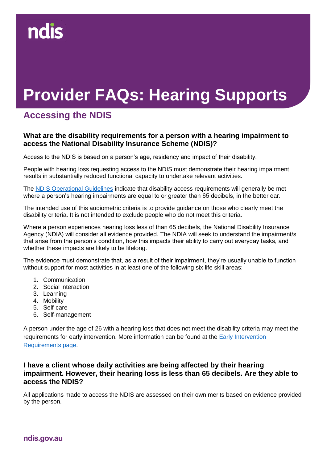# **Provider FAQs: Hearing Supports**

# **Accessing the NDIS**

### **What are the disability requirements for a person with a hearing impairment to access the National Disability Insurance Scheme (NDIS)?**

Access to the NDIS is based on a person's age, residency and impact of their disability.

People with hearing loss requesting access to the NDIS must demonstrate their hearing impairment results in substantially reduced functional capacity to undertake relevant activities.

The [NDIS Operational Guidelines](https://www.ndis.gov.au/about-us/operational-guidelines/access-ndis-operational-guideline/access-ndis-disability-requirements) indicate that disability access requirements will generally be met where a person's hearing impairments are equal to or greater than 65 decibels, in the better ear.

The intended use of this audiometric criteria is to provide guidance on those who clearly meet the disability criteria. It is not intended to exclude people who do not meet this criteria.

Where a person experiences hearing loss less of than 65 decibels, the National Disability Insurance Agency (NDIA) will consider all evidence provided. The NDIA will seek to understand the impairment/s that arise from the person's condition, how this impacts their ability to carry out everyday tasks, and whether these impacts are likely to be lifelong.

The evidence must demonstrate that, as a result of their impairment, they're usually unable to function without support for most activities in at least one of the following six life skill areas:

- 1. Communication
- 2. Social interaction
- 3. Learning
- 4. Mobility
- 5. Self-care
- 6. Self-management

A person under the age of 26 with a hearing loss that does not meet the disability criteria may meet the requirements for early intervention. More information can be found at the Early Intervention [Requirements page.](https://www.ndis.gov.au/about-us/operational-guidelines/access-ndis-operational-guideline/access-ndis-early-intervention-requirements#9)

#### **I have a client whose daily activities are being affected by their hearing impairment. However, their hearing loss is less than 65 decibels. Are they able to access the NDIS?**

All applications made to access the NDIS are assessed on their own merits based on evidence provided by the person.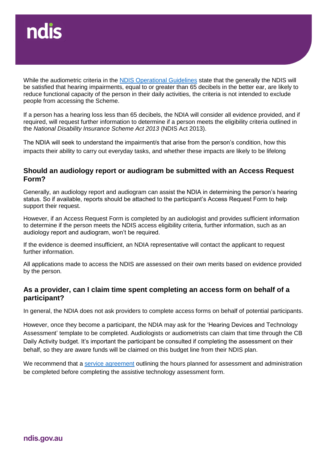

While the audiometric criteria in the **NDIS** Operational Guidelines state that the generally the NDIS will be satisfied that hearing impairments, equal to or greater than 65 decibels in the better ear, are likely to reduce functional capacity of the person in their daily activities, the criteria is not intended to exclude people from accessing the Scheme.

If a person has a hearing loss less than 65 decibels, the NDIA will consider all evidence provided, and if required, will request further information to determine if a person meets the eligibility criteria outlined in the *National Disability Insurance Scheme Act 2013* (NDIS Act 2013).

The NDIA will seek to understand the impairment/s that arise from the person's condition, how this impacts their ability to carry out everyday tasks, and whether these impacts are likely to be lifelong

#### **Should an audiology report or audiogram be submitted with an Access Request Form?**

Generally, an audiology report and audiogram can assist the NDIA in determining the person's hearing status. So if available, reports should be attached to the participant's Access Request Form to help support their request.

However, if an Access Request Form is completed by an audiologist and provides sufficient information to determine if the person meets the NDIS access eligibility criteria, further information, such as an audiology report and audiogram, won't be required.

If the evidence is deemed insufficient, an NDIA representative will contact the applicant to request further information.

All applications made to access the NDIS are assessed on their own merits based on evidence provided by the person.

#### **As a provider, can I claim time spent completing an access form on behalf of a participant?**

In general, the NDIA does not ask providers to complete access forms on behalf of potential participants.

However, once they become a participant, the NDIA may ask for the 'Hearing Devices and Technology Assessment' template to be completed. Audiologists or audiometrists can claim that time through the CB Daily Activity budget. It's important the participant be consulted if completing the assessment on their behalf, so they are aware funds will be claimed on this budget line from their NDIS plan.

We recommend that a [service agreement](https://www.ndis.gov.au/providers/working-provider/connecting-participants/service-agreements) outlining the hours planned for assessment and administration be completed before completing the assistive technology assessment form.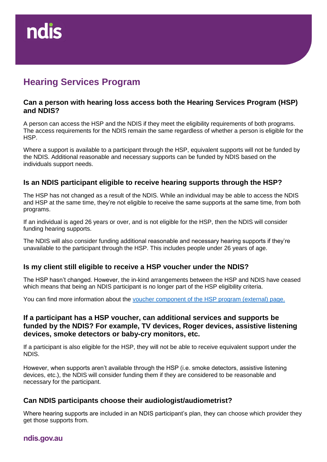# **Hearing Services Program**

#### **Can a person with hearing loss access both the Hearing Services Program (HSP) and NDIS?**

A person can access the HSP and the NDIS if they meet the eligibility requirements of both programs. The access requirements for the NDIS remain the same regardless of whether a person is eligible for the HSP.

Where a support is available to a participant through the HSP, equivalent supports will not be funded by the NDIS. Additional reasonable and necessary supports can be funded by NDIS based on the individuals support needs.

#### **Is an NDIS participant eligible to receive hearing supports through the HSP?**

The HSP has not changed as a result of the NDIS. While an individual may be able to access the NDIS and HSP at the same time, they're not eligible to receive the same supports at the same time, from both programs.

If an individual is aged 26 years or over, and is not eligible for the HSP, then the NDIS will consider funding hearing supports.

The NDIS will also consider funding additional reasonable and necessary hearing supports if they're unavailable to the participant through the HSP. This includes people under 26 years of age.

#### **Is my client still eligible to receive a HSP voucher under the NDIS?**

The HSP hasn't changed. However, the in-kind arrangements between the HSP and NDIS have ceased which means that being an NDIS participant is no longer part of the HSP eligibility criteria.

You can find more information about the [voucher component of the HSP program \(external\) page.](http://www.hearingservices.gov.au/wps/portal/hso/site/eligibility/programhelp/eligibility/!ut/p/a1/04_Sj9CPykssy0xPLMnMz0vMAfGjzOK9A03NDD0NjLwtwvzdDBwd_UJ9vNxMjAwcDYEKIvEoMDAlTr8BDuBoQEi_FxEWGBX5Ovum60cVJJZk6GbmpeXrRxQU5acXJeZmpOYU6Eek5mSmZyZl5mSWVOqH60fhNRHkI7ACPE4uyA2NqPLxMMh0VFQEANmgxNY!/dl5/d5/L2dBISEvZ0FBIS9nQSEh/)

#### **If a participant has a HSP voucher, can additional services and supports be funded by the NDIS? For example, TV devices, Roger devices, assistive listening devices, smoke detectors or baby-cry monitors, etc.**

If a participant is also eligible for the HSP, they will not be able to receive equivalent support under the NDIS.

However, when supports aren't available through the HSP (i.e. smoke detectors, assistive listening devices, etc.), the NDIS will consider funding them if they are considered to be reasonable and necessary for the participant.

## **Can NDIS participants choose their audiologist/audiometrist?**

Where hearing supports are included in an NDIS participant's plan, they can choose which provider they get those supports from.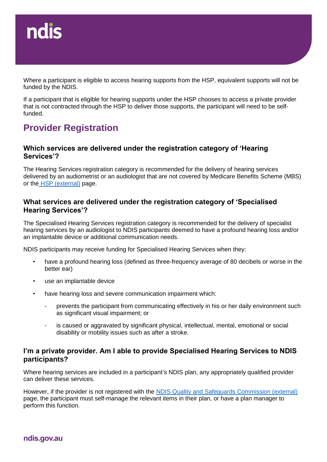# ndis

Where a participant is eligible to access hearing supports from the HSP, equivalent supports will not be funded by the NDIS.

If a participant that is eligible for hearing supports under the HSP chooses to access a private provider that is not contracted through the HSP to deliver those supports, the participant will need to be selffunded.

# **Provider Registration**

#### **Which services are delivered under the registration category of 'Hearing Services'?**

The Hearing Services registration category is recommended for the delivery of hearing services delivered by an audiometrist or an audiologist that are not covered by Medicare Benefits Scheme (MBS) or the [HSP \(external\)](http://www.hearingservices.gov.au/wps/portal/hso/site/HSOHome/!ut/p/a1/04_Sj9CPykssy0xPLMnMz0vMAfGjzOK9A03NDD0NjLwtwvzdDBwd_UJ9vNxMjAy8DYAKIoEKDHAARwNC-sP1o_AqMTCFKsBjRUFuhEGmo6IiAGbW_L4!/dl5/d5/L2dBISEvZ0FBIS9nQSEh/) page.

### **What services are delivered under the registration category of 'Specialised Hearing Services'?**

The Specialised Hearing Services registration category is recommended for the delivery of specialist hearing services by an audiologist to NDIS participants deemed to have a profound hearing loss and/or an implantable device or additional communication needs.

NDIS participants may receive funding for Specialised Hearing Services when they:

- have a profound hearing loss (defined as three-frequency average of 80 decibels or worse in the better ear)
- use an implantable device
- have hearing loss and severe communication impairment which:
	- prevents the participant from communicating effectively in his or her daily environment such as significant visual impairment; or
	- is caused or aggravated by significant physical, intellectual, mental, emotional or social disability or mobility issues such as after a stroke.

#### **I'm a private provider. Am I able to provide Specialised Hearing Services to NDIS participants?**

Where hearing services are included in a participant's NDIS plan, any appropriately qualified provider can deliver these services.

However, if the provider is not registered with the [NDIS Quality and Safeguards Commission \(external\)](https://www.ndiscommission.gov.au/) page, the participant must self-manage the relevant items in their plan, or have a plan manager to perform this function.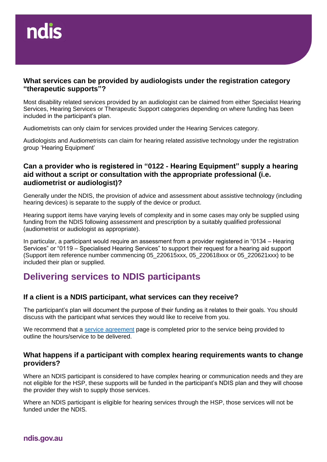

#### **What services can be provided by audiologists under the registration category "therapeutic supports"?**

Most disability related services provided by an audiologist can be claimed from either Specialist Hearing Services, Hearing Services or Therapeutic Support categories depending on where funding has been included in the participant's plan.

Audiometrists can only claim for services provided under the Hearing Services category.

Audiologists and Audiometrists can claim for hearing related assistive technology under the registration group 'Hearing Equipment'

## **Can a provider who is registered in "0122 - Hearing Equipment" supply a hearing aid without a script or consultation with the appropriate professional (i.e. audiometrist or audiologist)?**

Generally under the NDIS, the provision of advice and assessment about assistive technology (including hearing devices) is separate to the supply of the device or product.

Hearing support items have varying levels of complexity and in some cases may only be supplied using funding from the NDIS following assessment and prescription by a suitably qualified professional (audiometrist or audiologist as appropriate).

In particular, a participant would require an assessment from a provider registered in "0134 – Hearing Services" or "0119 – Specialised Hearing Services" to support their request for a hearing aid support (Support item reference number commencing 05\_220615xxx, 05\_220618xxx or 05\_220621xxx) to be included their plan or supplied.

# **Delivering services to NDIS participants**

#### **If a client is a NDIS participant, what services can they receive?**

The participant's plan will document the purpose of their funding as it relates to their goals. You should discuss with the participant what services they would like to receive from you.

We recommend that a [service agreement](https://www.ndis.gov.au/providers/working-provider/connecting-participants/service-agreements) page is completed prior to the service being provided to outline the hours/service to be delivered.

#### **What happens if a participant with complex hearing requirements wants to change providers?**

Where an NDIS participant is considered to have complex hearing or communication needs and they are not eligible for the HSP, these supports will be funded in the participant's NDIS plan and they will choose the provider they wish to supply those services.

Where an NDIS participant is eligible for hearing services through the HSP, those services will not be funded under the NDIS.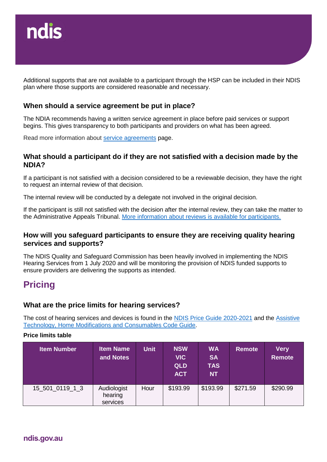

Additional supports that are not available to a participant through the HSP can be included in their NDIS plan where those supports are considered reasonable and necessary.

#### **When should a service agreement be put in place?**

The NDIA recommends having a written service agreement in place before paid services or support begins. This gives transparency to both participants and providers on what has been agreed.

Read more information about [service agreements](https://www.ndis.gov.au/providers/working-provider/connecting-participants/service-agreements) page.

#### **What should a participant do if they are not satisfied with a decision made by the NDIA?**

If a participant is not satisfied with a decision considered to be a reviewable decision, they have the right to request an internal review of that decision.

The internal review will be conducted by a delegate not involved in the original decision.

If the participant is still not satisfied with the decision after the internal review, they can take the matter to the Administrative Appeals Tribunal. [More information about reviews is available for participants.](https://www.ndis.gov.au/participants/how-review-planning-decision)

#### **How will you safeguard participants to ensure they are receiving quality hearing services and supports?**

The NDIS Quality and Safeguard Commission has been heavily involved in implementing the NDIS Hearing Services from 1 July 2020 and will be monitoring the provision of NDIS funded supports to ensure providers are delivering the supports as intended.

## **Pricing**

#### **What are the price limits for hearing services?**

The cost of hearing services and devices is found in the [NDIS Price Guide 2020-2021](https://www.ndis.gov.au/providers/price-guides-and-pricing) and the [Assistive](https://www.ndis.gov.au/providers/housing-and-living-supports-and-services/providing-assistive-technology#Atcodeguide) [Technology, Home Modifications and Consumables Code Guide.](https://www.ndis.gov.au/providers/housing-and-living-supports-and-services/providing-assistive-technology#Atcodeguide)

#### **Price limits table**

| Item Number     | <b>Item Name</b><br>and Notes      | <b>Unit</b> | <b>NSW</b><br><b>VIC</b><br><b>QLD</b><br><b>ACT</b> | <b>WA</b><br><b>SA</b><br><b>TAS</b><br><b>NT</b> | <b>Remote</b> | <b>Very</b><br><b>Remote</b> |
|-----------------|------------------------------------|-------------|------------------------------------------------------|---------------------------------------------------|---------------|------------------------------|
| 15_501_0119_1_3 | Audiologist<br>hearing<br>services | Hour        | \$193.99                                             | \$193.99                                          | \$271.59      | \$290.99                     |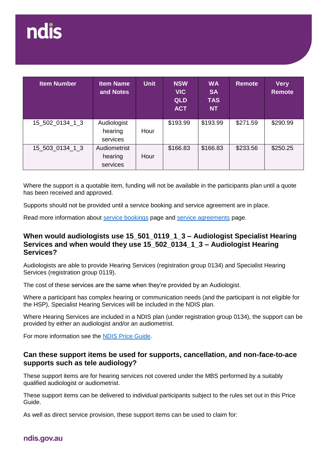| <b>Item Number</b> | <b>Item Name</b><br>and Notes | <b>Unit</b> | <b>NSW</b><br><b>VIC</b><br><b>QLD</b><br><b>ACT</b> | <b>WA</b><br><b>SA</b><br><b>TAS</b><br><b>NT</b> | <b>Remote</b> | <b>Very</b><br><b>Remote</b> |
|--------------------|-------------------------------|-------------|------------------------------------------------------|---------------------------------------------------|---------------|------------------------------|
| 15_502_0134_1_3    | Audiologist                   |             | \$193.99                                             | \$193.99                                          | \$271.59      | \$290.99                     |
|                    | hearing                       | Hour        |                                                      |                                                   |               |                              |
|                    | services                      |             |                                                      |                                                   |               |                              |
| 15_503_0134_1_3    | Audiometrist                  |             | \$166.83                                             | \$166.83                                          | \$233.56      | \$250.25                     |
|                    | hearing                       | Hour        |                                                      |                                                   |               |                              |
|                    | services                      |             |                                                      |                                                   |               |                              |

Where the support is a quotable item, funding will not be available in the participants plan until a quote has been received and approved.

Supports should not be provided until a service booking and service agreement are in place.

Read more information about [service bookings](https://www.ndis.gov.au/providers/working-provider/connecting-participants/managing-service-bookings) page and [service agreements](https://www.ndis.gov.au/providers/working-provider/connecting-participants/service-agreements) page.

#### **When would audiologists use 15\_501\_0119\_1\_3 – Audiologist Specialist Hearing Services and when would they use 15\_502\_0134\_1\_3 – Audiologist Hearing Services?**

Audiologists are able to provide Hearing Services (registration group 0134) and Specialist Hearing Services (registration group 0119).

The cost of these services are the same when they're provided by an Audiologist.

Where a participant has complex hearing or communication needs (and the participant is not eligible for the HSP), Specialist Hearing Services will be included in the NDIS plan.

Where Hearing Services are included in a NDIS plan (under registration group 0134), the support can be provided by either an audiologist and/or an audiometrist.

For more information see the [NDIS Price Guide.](https://www.ndis.gov.au/providers/price-guides-and-pricing)

#### **Can these support items be used for supports, cancellation, and non-face-to-ace supports such as tele audiology?**

These support items are for hearing services not covered under the MBS performed by a suitably qualified audiologist or audiometrist.

These support items can be delivered to individual participants subject to the rules set out in this Price Guide.

As well as direct service provision, these support items can be used to claim for: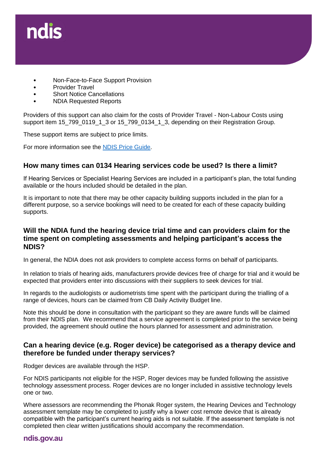

- Non-Face-to-Face Support Provision
- Provider Travel
- Short Notice Cancellations
- NDIA Requested Reports

Providers of this support can also claim for the costs of Provider Travel - Non-Labour Costs using support item 15\_799\_0119\_1\_3 or 15\_799\_0134\_1\_3, depending on their Registration Group.

These support items are subject to price limits.

For more information see the [NDIS Price Guide.](https://www.ndis.gov.au/providers/price-guides-and-pricing)

## **How many times can 0134 Hearing services code be used? Is there a limit?**

If Hearing Services or Specialist Hearing Services are included in a participant's plan, the total funding available or the hours included should be detailed in the plan.

It is important to note that there may be other capacity building supports included in the plan for a different purpose, so a service bookings will need to be created for each of these capacity building supports.

#### **Will the NDIA fund the hearing device trial time and can providers claim for the time spent on completing assessments and helping participant's access the NDIS?**

In general, the NDIA does not ask providers to complete access forms on behalf of participants.

In relation to trials of hearing aids, manufacturers provide devices free of charge for trial and it would be expected that providers enter into discussions with their suppliers to seek devices for trial.

In regards to the audiologists or audiometrists time spent with the participant during the trialling of a range of devices, hours can be claimed from CB Daily Activity Budget line.

Note this should be done in consultation with the participant so they are aware funds will be claimed from their NDIS plan. We recommend that a service agreement is completed prior to the service being provided, the agreement should outline the hours planned for assessment and administration.

#### **Can a hearing device (e.g. Roger device) be categorised as a therapy device and therefore be funded under therapy services?**

Rodger devices are available through the HSP.

For NDIS participants not eligible for the HSP, Roger devices may be funded following the assistive technology assessment process. Roger devices are no longer included in assistive technology levels one or two.

Where assessors are recommending the Phonak Roger system, the Hearing Devices and Technology assessment template may be completed to justify why a lower cost remote device that is already compatible with the participant's current hearing aids is not suitable. If the assessment template is not completed then clear written justifications should accompany the recommendation.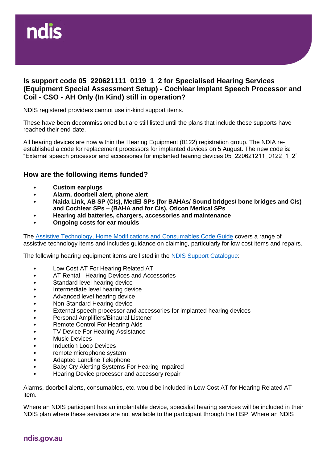

#### **Is support code 05\_220621111\_0119\_1\_2 for Specialised Hearing Services (Equipment Special Assessment Setup) - Cochlear Implant Speech Processor and Coil - CSO - AH Only (In Kind) still in operation?**

NDIS registered providers cannot use in-kind support items.

These have been decommissioned but are still listed until the plans that include these supports have reached their end-date.

All hearing devices are now within the Hearing Equipment (0122) registration group. The NDIA reestablished a code for replacement processors for implanted devices on 5 August. The new code is: "External speech processor and accessories for implanted hearing devices 05\_220621211\_0122\_1\_2"

#### **How are the following items funded?**

- **Custom earplugs**
- **Alarm, doorbell alert, phone alert**
- **Naida Link, AB SP (CIs), MedEl SPs (for BAHAs/ Sound bridges/ bone bridges and CIs) and Cochlear SPs – (BAHA and for CIs), Oticon Medical SPs**
- **Hearing aid batteries, chargers, accessories and maintenance**
- **Ongoing costs for ear moulds**

The Assistive Technology, [Home Modifications and Consumables Code Guide](https://www.ndis.gov.au/providers/housing-and-living-supports-and-services/providing-assistive-technology#Atcodeguide) covers a range of assistive technology items and includes guidance on claiming, particularly for low cost items and repairs.

The following hearing equipment items are listed in the [NDIS Support Catalogue:](https://www.ndis.gov.au/providers/price-guides-and-pricing)

- Low Cost AT For Hearing Related AT
- AT Rental Hearing Devices and Accessories
- Standard level hearing device
- Intermediate level hearing device
- Advanced level hearing device
- Non-Standard Hearing device
- External speech processor and accessories for implanted hearing devices
- Personal Amplifiers/Binaural Listener
- Remote Control For Hearing Aids
- **TV Device For Hearing Assistance**
- **Music Devices**
- Induction Loop Devices
- remote microphone system
- Adapted Landline Telephone
- Baby Cry Alerting Systems For Hearing Impaired
- Hearing Device processor and accessory repair

Alarms, doorbell alerts, consumables, etc. would be included in Low Cost AT for Hearing Related AT item.

Where an NDIS participant has an implantable device, specialist hearing services will be included in their NDIS plan where these services are not available to the participant through the HSP. Where an NDIS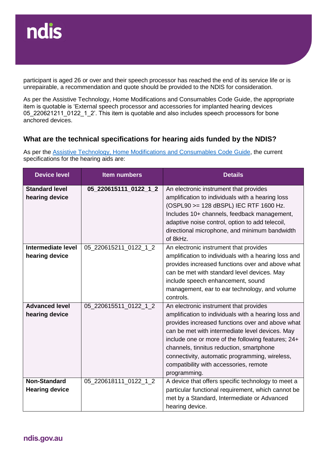

participant is aged 26 or over and their speech processor has reached the end of its service life or is unrepairable, a recommendation and quote should be provided to the NDIS for consideration.

As per the Assistive Technology, Home Modifications and Consumables Code Guide, the appropriate item is quotable is 'External speech processor and accessories for implanted hearing devices 05\_220621211\_0122\_1\_2'. This item is quotable and also includes speech processors for bone anchored devices.

#### **What are the technical specifications for hearing aids funded by the NDIS?**

As per the [Assistive Technology, Home Modifications and Consumables Code Guide,](https://www.ndis.gov.au/providers/housing-and-living-supports-and-services/providing-assistive-technology#Atcodeguide) the current specifications for the hearing aids are:

| <b>Device level</b>                          | <b>Item numbers</b>   | <b>Details</b>                                                                                                                                                                                                                                                                                                                                                                                                      |
|----------------------------------------------|-----------------------|---------------------------------------------------------------------------------------------------------------------------------------------------------------------------------------------------------------------------------------------------------------------------------------------------------------------------------------------------------------------------------------------------------------------|
| <b>Standard level</b><br>hearing device      | 05_220615111_0122_1_2 | An electronic instrument that provides<br>amplification to individuals with a hearing loss<br>(OSPL90 >= 128 dBSPL) IEC RTF 1600 Hz.<br>Includes 10+ channels, feedback management,<br>adaptive noise control, option to add telecoil,<br>directional microphone, and minimum bandwidth<br>of 8kHz.                                                                                                                 |
| Intermediate level<br>hearing device         | 05_220615211_0122_1_2 | An electronic instrument that provides<br>amplification to individuals with a hearing loss and<br>provides increased functions over and above what<br>can be met with standard level devices. May<br>include speech enhancement, sound<br>management, ear to ear technology, and volume<br>controls.                                                                                                                |
| <b>Advanced level</b><br>hearing device      | 05_220615511_0122_1_2 | An electronic instrument that provides<br>amplification to individuals with a hearing loss and<br>provides increased functions over and above what<br>can be met with intermediate level devices. May<br>include one or more of the following features; 24+<br>channels, tinnitus reduction, smartphone<br>connectivity, automatic programming, wireless,<br>compatibility with accessories, remote<br>programming. |
| <b>Non-Standard</b><br><b>Hearing device</b> | 05_220618111_0122_1_2 | A device that offers specific technology to meet a<br>particular functional requirement, which cannot be<br>met by a Standard, Intermediate or Advanced<br>hearing device.                                                                                                                                                                                                                                          |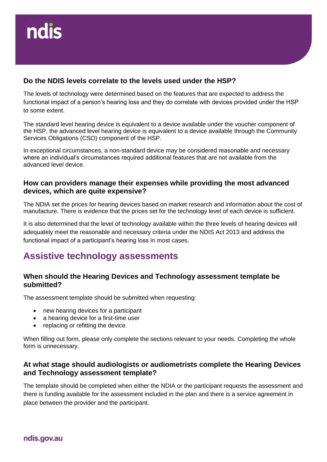## **Do the NDIS levels correlate to the levels used under the HSP?**

The levels of technology were determined based on the features that are expected to address the functional impact of a person's hearing loss and they do correlate with devices provided under the HSP to some extent.

The standard level hearing device is equivalent to a device available under the voucher component of the HSP, the advanced level hearing device is equivalent to a device available through the Community Services Obligations (CSO) component of the HSP.

In exceptional circumstances, a non-standard device may be considered reasonable and necessary where an individual's circumstances required additional features that are not available from the advanced level device.

#### **How can providers manage their expenses while providing the most advanced devices, which are quite expensive?**

The NDIA set the prices for hearing devices based on market research and information about the cost of manufacture. There is evidence that the prices set for the technology level of each device is sufficient.

It is also determined that the level of technology available within the three levels of hearing devices will adequately meet the reasonable and necessary criteria under the NDIS Act 2013 and address the functional impact of a participant's hearing loss in most cases.

# **Assistive technology assessments**

## **When should the Hearing Devices and Technology assessment template be submitted?**

The assessment template should be submitted when requesting:

- new hearing devices for a participant
- a hearing device for a first-time user
- replacing or refitting the device.

When filling out form, please only complete the sections relevant to your needs. Completing the whole form is unnecessary.

#### **At what stage should audiologists or audiometrists complete the Hearing Devices and Technology assessment template?**

The template should be completed when either the NDIA or the participant requests the assessment and there is funding available for the assessment included in the plan and there is a service agreement in place between the provider and the participant.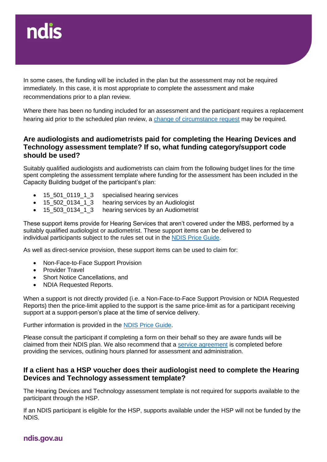# ndis

In some cases, the funding will be included in the plan but the assessment may not be required immediately. In this case, it is most appropriate to complete the assessment and make recommendations prior to a plan review.

Where there has been no funding included for an assessment and the participant requires a replacement hearing aid prior to the scheduled plan review, a [change of circumstance request](https://www.ndis.gov.au/participants/using-your-plan/changing-your-plan/change-circumstances) may be required.

## **Are audiologists and audiometrists paid for completing the Hearing Devices and Technology assessment template? If so, what funding category/support code should be used?**

Suitably qualified audiologists and audiometrists can claim from the following budget lines for the time spent completing the assessment template where funding for the assessment has been included in the Capacity Building budget of the participant's plan:

- 15\_501\_0119\_1\_3 specialised hearing services
- 15 502 0134 1 3 hearing services by an Audiologist
- 15 503 0134 1 3 hearing services by an Audiometrist

These support items provide for Hearing Services that aren't covered under the MBS, performed by a suitably qualified audiologist or audiometrist. These support items can be delivered to individual participants subject to the rules set out in the [NDIS Price Guide.](https://www.ndis.gov.au/providers/price-guides-and-pricing)

As well as direct-service provision, these support items can be used to claim for:

- Non-Face-to-Face Support Provision
- Provider Travel
- Short Notice Cancellations, and
- NDIA Requested Reports.

When a support is not directly provided (i.e. a Non-Face-to-Face Support Provision or NDIA Requested Reports) then the price-limit applied to the support is the same price-limit as for a participant receiving support at a support-person's place at the time of service delivery.

Further information is provided in the [NDIS Price Guide.](https://www.ndis.gov.au/providers/price-guides-and-pricing)

Please consult the participant if completing a form on their behalf so they are aware funds will be claimed from their NDIS plan. We also recommend that a [service agreement](https://www.ndis.gov.au/providers/working-provider/connecting-participants/service-agreements) is completed before providing the services, outlining hours planned for assessment and administration.

## **If a client has a HSP voucher does their audiologist need to complete the Hearing Devices and Technology assessment template?**

The Hearing Devices and Technology assessment template is not required for supports available to the participant through the HSP.

If an NDIS participant is eligible for the HSP, supports available under the HSP will not be funded by the NDIS.